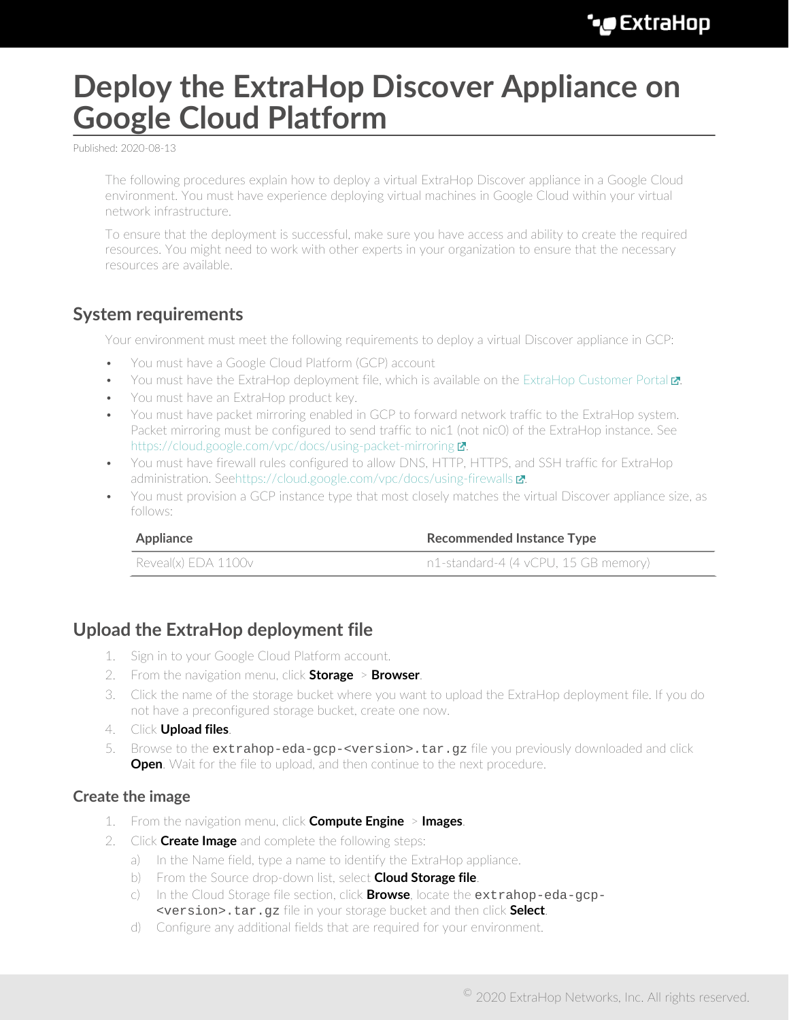# **Deploy the ExtraHop Discover Appliance on Google Cloud Platform**

Published: 2020-08-13

The following procedures explain how to deploy a virtual ExtraHop Discover appliance in a Google Cloud environment. You must have experience deploying virtual machines in Google Cloud within your virtual network infrastructure.

To ensure that the deployment is successful, make sure you have access and ability to create the required resources. You might need to work with other experts in your organization to ensure that the necessary resources are available.

## **System requirements**

Your environment must meet the following requirements to deploy a virtual Discover appliance in GCP:

- You must have a Google Cloud Platform (GCP) account
- You must have the ExtraHop deployment file, which is available on the ExtraHop Customer Portal  $\mathbb{Z}$ .
- You must have an ExtraHop product key.
- You must have packet mirroring enabled in GCP to forward network traffic to the ExtraHop system. Packet mirroring must be configured to send traffic to nic1 (not nic0) of the ExtraHop instance. See https://cloud.google.com/vpc/docs/using-packet-mirroring  $\blacksquare$ .
- You must have firewall rules configured to allow DNS, HTTP, HTTPS, and SSH traffic for ExtraHop administration. Se[ehttps://cloud.google.com/vpc/docs/using-firewalls](https://cloud.google.com/vpc/docs/using-firewalls) **...**
- You must provision a GCP instance type that most closely matches the virtual Discover appliance size, as follows:

| Appliance           | <b>Recommended Instance Type</b>     |  |
|---------------------|--------------------------------------|--|
| Reveal(x) EDA 1100v | n1-standard-4 (4 vCPU, 15 GB memory) |  |

## **Upload the ExtraHop deployment file**

- 1. Sign in to your Google Cloud Platform account.
- 2. From the navigation menu, click **Storage** > **Browser**.
- 3. Click the name of the storage bucket where you want to upload the ExtraHop deployment file. If you do not have a preconfigured storage bucket, create one now.
- 4. Click **Upload files**.
- 5. Browse to the extrahop-eda-gcp-<version>.tar.gz file you previously downloaded and click **Open.** Wait for the file to upload, and then continue to the next procedure.

#### **Create the image**

- 1. From the navigation menu, click **Compute Engine** > **Images**.
- 2. Click **Create Image** and complete the following steps:
	- a) In the Name field, type a name to identify the ExtraHop appliance.
	- b) From the Source drop-down list, select **Cloud Storage file**.
	- c) In the Cloud Storage file section, click **Browse**, locate the extrahop-eda-gcp- <version>.tar.gz file in your storage bucket and then click **Select**.
	- d) Configure any additional fields that are required for your environment.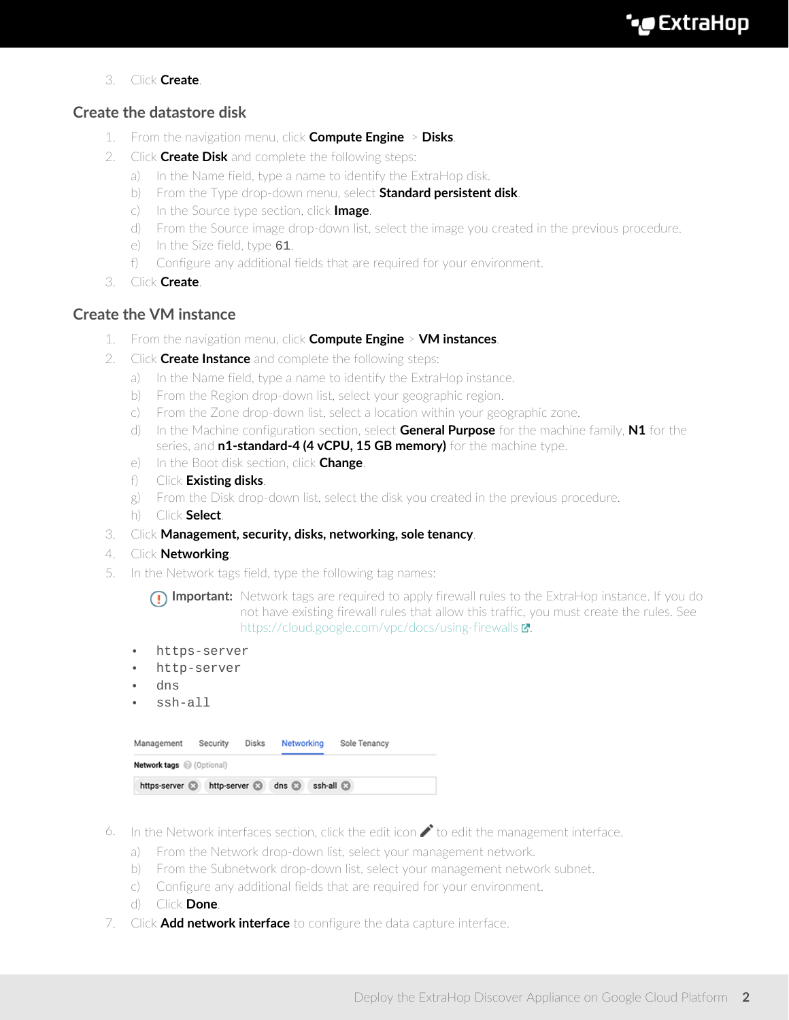3. Click **Create**.

### **Create the datastore disk**

- 1. From the navigation menu, click **Compute Engine** > **Disks**.
- 2. Click **Create Disk** and complete the following steps:
	- a) In the Name field, type a name to identify the ExtraHop disk.
	- b) From the Type drop-down menu, select **Standard persistent disk**.
	- c) In the Source type section, click **Image**.
	- d) From the Source image drop-down list, select the image you created in the previous procedure.
	- e) In the Size field, type 61.
	- f) Configure any additional fields that are required for your environment.
- 3. Click **Create**.

### **Create the VM instance**

- 1. From the navigation menu, click **Compute Engine** > **VM instances**.
- 2. Click **Create Instance** and complete the following steps:
	- a) In the Name field, type a name to identify the ExtraHop instance.
	- b) From the Region drop-down list, select your geographic region.
	- c) From the Zone drop-down list, select a location within your geographic zone.
	- d) In the Machine configuration section, select **General Purpose** for the machine family, **N1** for the series, and **n1-standard-4 (4 vCPU, 15 GB memory)** for the machine type.
	- e) In the Boot disk section, click **Change**.
	- f) Click **Existing disks**.
	- g) From the Disk drop-down list, select the disk you created in the previous procedure.
	- h) Click **Select**.
- 3. Click **Management, security, disks, networking, sole tenancy**.
- 4. Click **Networking**.
- 5. In the Network tags field, type the following tag names:

**Important:** Network tags are required to apply firewall rules to the ExtraHop instance. If you do not have existing firewall rules that allow this traffic, you must create the rules. See <https://cloud.google.com/vpc/docs/using-firewalls> $\blacksquare$ .

- https-server
- http-server
- dns
- ssh-all

| Management                     | Security             | Disks | Networking  | Sole Tenancy |  |  |  |  |
|--------------------------------|----------------------|-------|-------------|--------------|--|--|--|--|
| <b>Network tags</b> (Optional) |                      |       |             |              |  |  |  |  |
| https-server <b>B</b>          | http-server <b>a</b> |       | dns $\odot$ | ssh-all a    |  |  |  |  |

- 6. In the Network interfaces section, click the edit icon  $\bullet$  to edit the management interface.
	- a) From the Network drop-down list, select your management network.
	- b) From the Subnetwork drop-down list, select your management network subnet.
	- c) Configure any additional fields that are required for your environment.
	- d) Click **Done**.
- 7. Click **Add network interface** to configure the data capture interface.